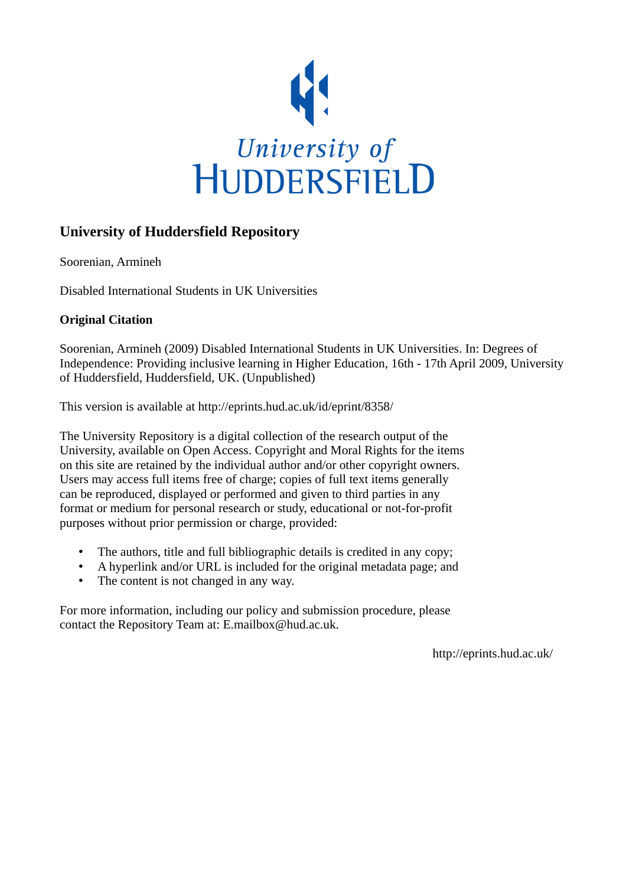

#### **University of Huddersfield Repository**

Soorenian, Armineh

Disabled International Students in UK Universities

#### **Original Citation**

Soorenian, Armineh (2009) Disabled International Students in UK Universities. In: Degrees of Independence: Providing inclusive learning in Higher Education, 16th - 17th April 2009, University of Huddersfield, Huddersfield, UK. (Unpublished)

This version is available at http://eprints.hud.ac.uk/id/eprint/8358/

The University Repository is a digital collection of the research output of the University, available on Open Access. Copyright and Moral Rights for the items on this site are retained by the individual author and/or other copyright owners. Users may access full items free of charge; copies of full text items generally can be reproduced, displayed or performed and given to third parties in any format or medium for personal research or study, educational or not-for-profit purposes without prior permission or charge, provided:

- The authors, title and full bibliographic details is credited in any copy;
- A hyperlink and/or URL is included for the original metadata page; and
- The content is not changed in any way.

For more information, including our policy and submission procedure, please contact the Repository Team at: E.mailbox@hud.ac.uk.

http://eprints.hud.ac.uk/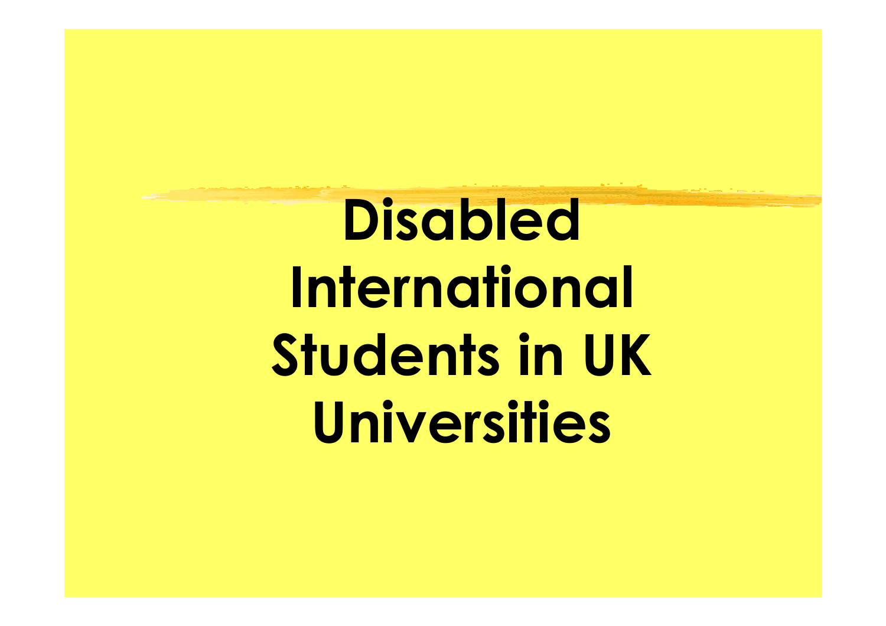Disabled International Students in UK Universities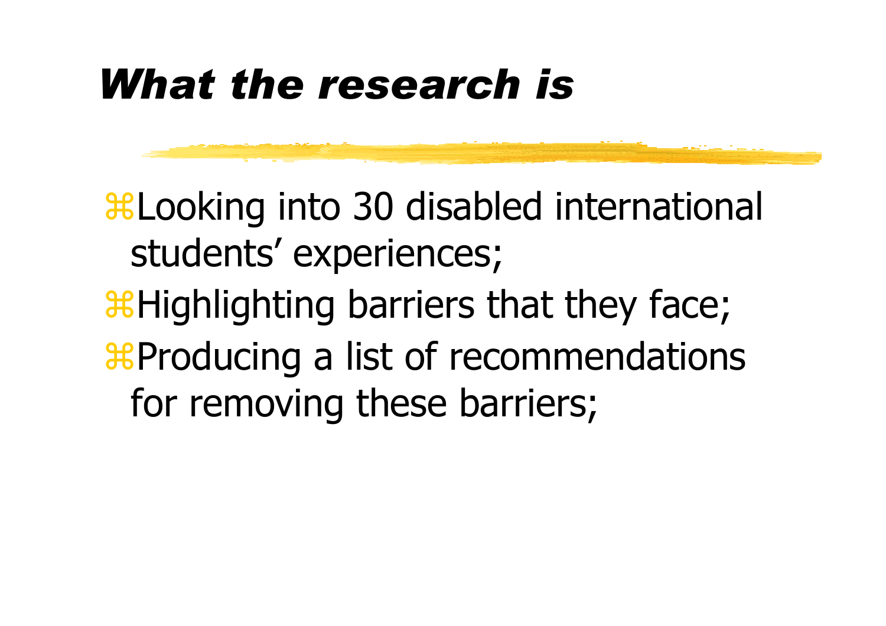### What the research is

Looking into 30 disabled international students' experiences; **Highlighting barriers that they face; Hata Producing a list of recommendations** for removing these barriers;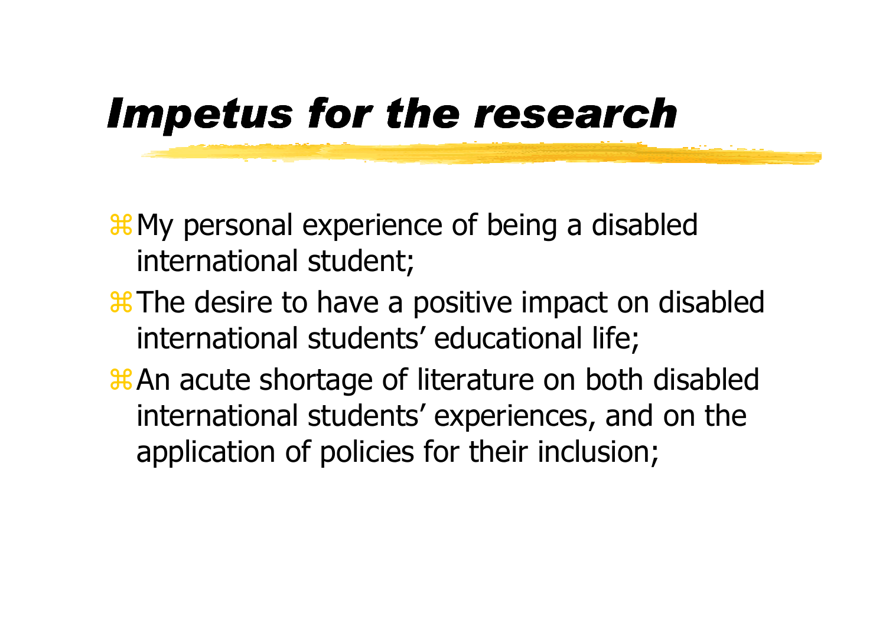### Impetus for the research

**Heta** My personal experience of being a disabled international student;

- The desire to have a positive impact on disabled international students' educational life;
- **Xan acute shortage of literature on both disabled** international students' experiences, and on the application of policies for their inclusion;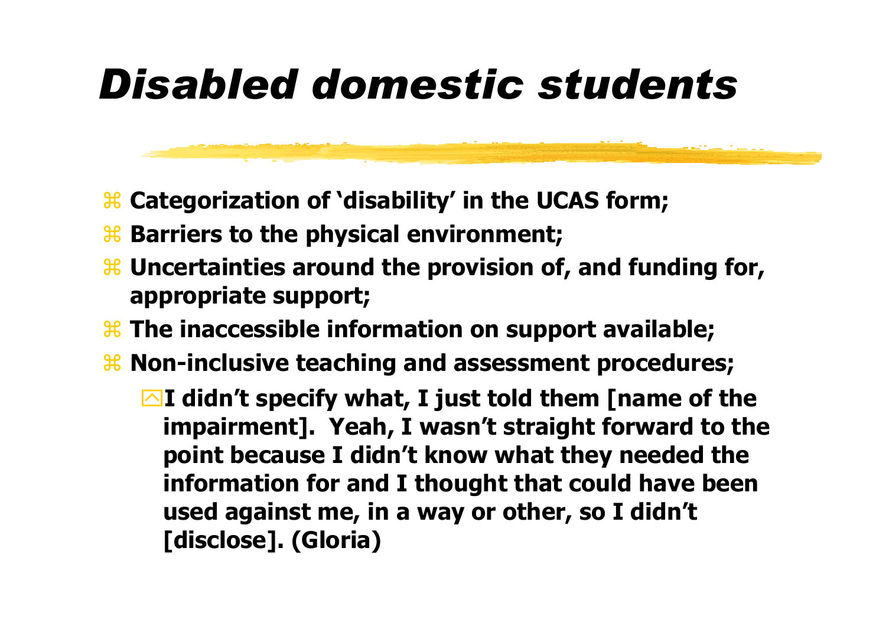## Disabled domestic students

- <sup>3</sup> Categorization of 'disability' in the UCAS form;
- **Barriers to the physical environment;**
- $\frac{12}{10}$  Uncertainties around the provision of, and funding for,<br>appropriate support: appropriate support;
- <sup>3</sup> The inaccessible information on support available;
- <sup>3</sup> Non-inclusive teaching and assessment procedures;

 $\blacksquare$ I didn't specify what, I just told them [name of the impairment]. Yeah, I wasn't straight forward to the point because I didn't know what they needed the information for and I thought that could have been used against me, in a way or other, so I didn't [disclose]. (Gloria)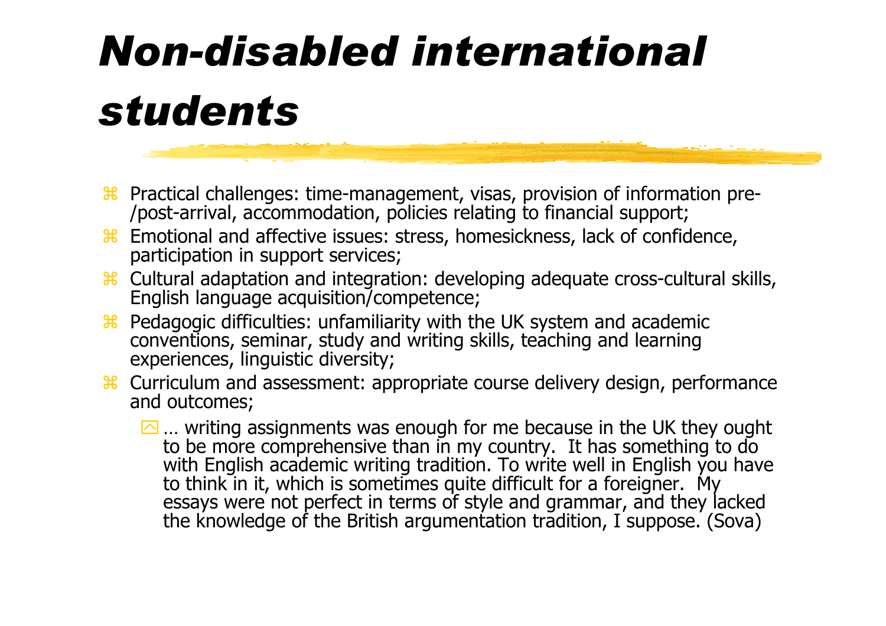# Non-disabled international students

- **B** Practical challenges: time-management, visas, provision of information pre-<br>/post-arrival. accommodation. policies relating to financial support: /post-arrival, accommodation, policies relating to financial support;
- <sup>36</sup> Emotional and affective issues: stress, homesickness, lack of confidence,<br>narticipation in support services: participation in support services;
- <sup>36</sup> Cultural adaptation and integration: developing adequate cross-cultural skills,<br>Fnglish language acquisition/competence: English language acquisition/competence;
- <sup>36</sup> Pedagogic difficulties: unfamiliarity with the UK system and academic<br>conventions, seminar, study and writing skills, teaching and learning conventions, seminar, study and writing skills, teaching and learning experiences, linguistic diversity;
- <sup>36</sup> Curriculum and assessment: appropriate course delivery design, performance and outcomes: and outcomes;
	- $\Box$  writing assignments was enough for me because in the UK they ought … writing assignments was enough for me because in the UK they ought to be more comprehensive than in my country. It has something to do with English academic writing tradition. To write well in English you have to think in it, which is sometimes quite difficult for a foreigner. My essays were not perfect in terms of style and grammar, and they lacked the knowledge of the British argumentation tradition, I suppose. (Sova)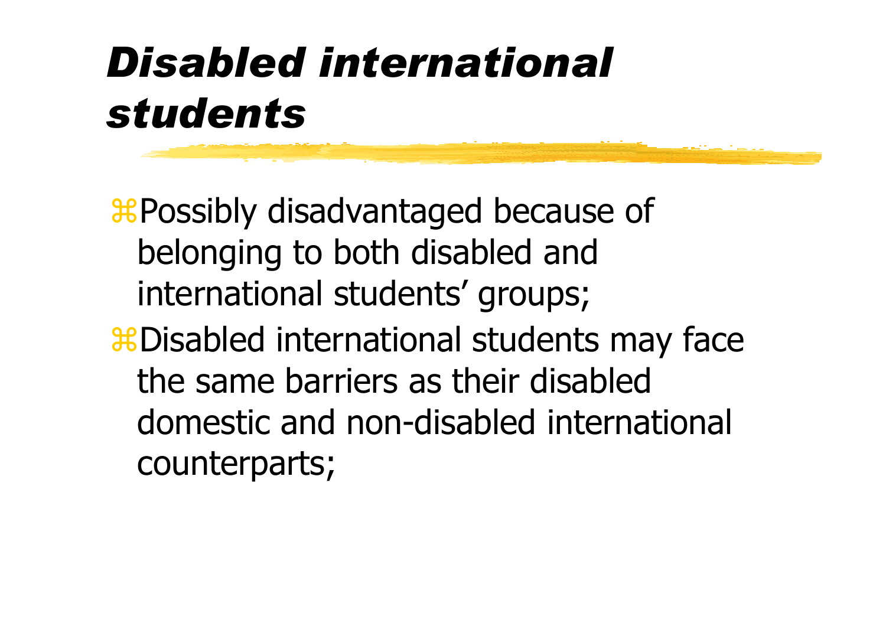## Disabled international students

**X Possibly disadvantaged because of** belonging to both disabled and international students' groups; **#Disabled international students may face** the same barriers as their disabled domestic and non-disabled international counterparts;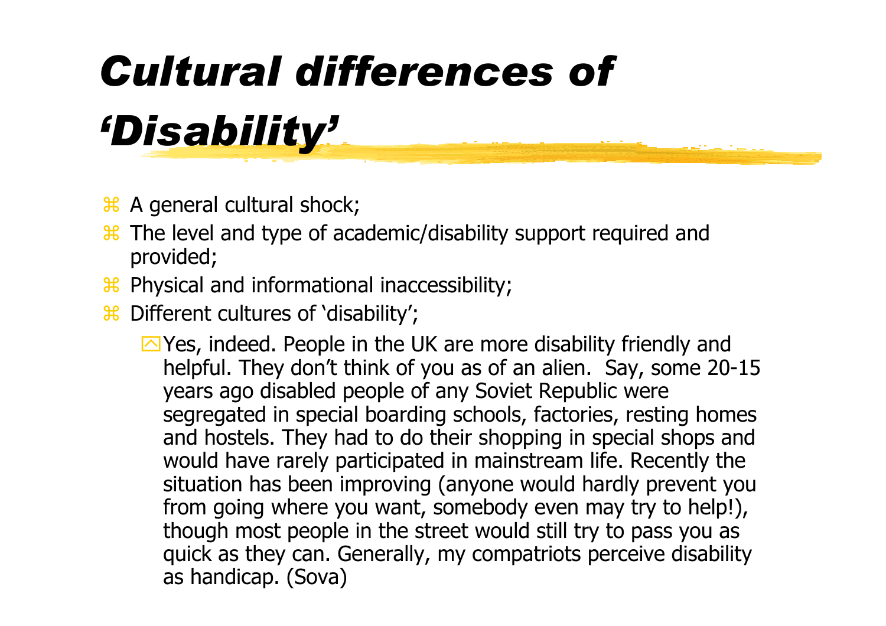# Cultural differences of 'Disability'

- $\frac{46}{100}$  A general cultural shock;
- <sup>36</sup> The level and type of academic/disability support required and<br>nrovided: provided;
- <sup>36</sup> Physical and informational inaccessibility;
- **B** Different cultures of 'disability';

 $\Box$  Yes, indeed. People in the UK are more disability friendly and helpful. They don't think of you as of an alien. Say, some 20-15 years ago disabled people of any Soviet Republic were segregated in special boarding schools, factories, resting homes and hostels. They had to do their shopping in special shops and would have rarely participated in mainstream life. Recently the situation has been improving (anyone would hardly prevent you from going where you want, somebody even may try to help!), though most people in the street would still try to pass you as quick as they can. Generally, my compatriots perceive disabilityas handicap. (Sova)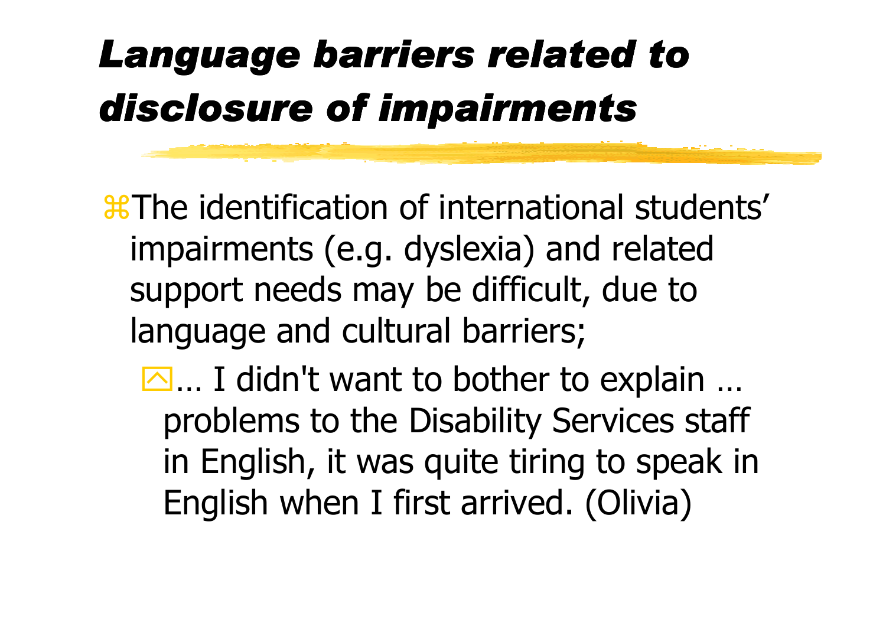## Language barriers related to disclosure of impairments

The identification of international students'impairments (e.g. dyslexia) and related support needs may be difficult, due to language and cultural barriers;

... I didn't want to bother to explain ...<br>Annalems to the Disability Services staf problems to the Disability Services staff in English, it was quite tiring to speak in English when I first arrived. (Olivia)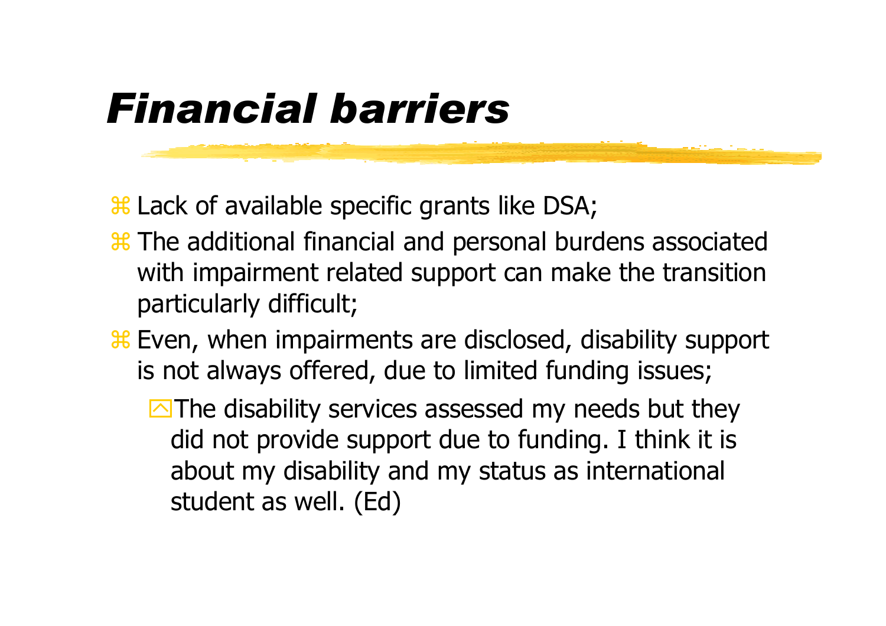### Financial barriers

<sup>3</sup> Lack of available specific grants like DSA;

- <sup>3</sup> The additional financial and personal burdens associated<br>with impairment related support can make the transition with impairment related support can make the transition particularly difficult;
- **Even, when impairments are disclosed, disability support**<br>is not always offered, due to limited funding issues: is not always offered, due to limited funding issues;
	- **The disability services assessed my needs but they** did not provide support due to funding. I think it is about my disability and my status as international student as well. (Ed)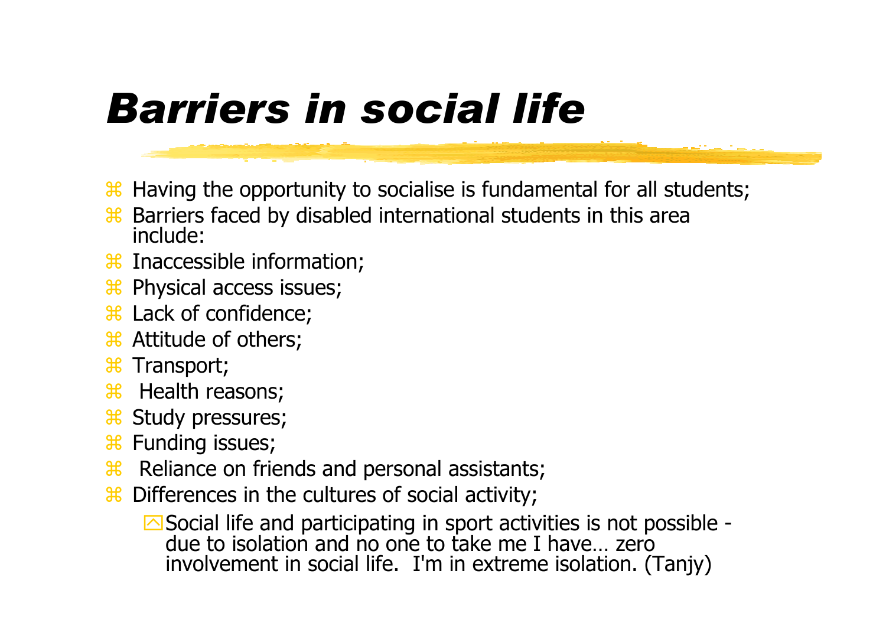### Barriers in social life

- $\frac{46}{10}$  Having the opportunity to socialise is fundamental for all students;<br> $\frac{48}{10}$  Barriers faced by disabled international students in this area
- $\frac{12}{10}$  Barriers faced by disabled international students in this area include: include:
- **H** Inaccessible information;<br>Ref Physical accoss issues:
- **H** Physical access issues;
- **H** Lack of confidence;<br>**H** Attitude of others:
- **H** Attitude of others;<br>**H** Transport:
- **H** Transport;<br>**P** Hoalth ro:
- $\frac{H}{H}$  Health reasons;<br> $\frac{H}{H}$  Study procesures;
- **B** Study pressures;<br>**B** Eunding issues:
- **H** Funding issues;<br>**H** Poliance on frie
- 8 Reliance on friends and personal assistants;<br>Reliance on the cultures of social activity:
- <sup>36</sup> Differences in the cultures of social activity;

△ Social life and participating in sport activities is not possible due to isolation and no one to take me I have… zero involvement in social life. I'm in extreme isolation. (Tanjy)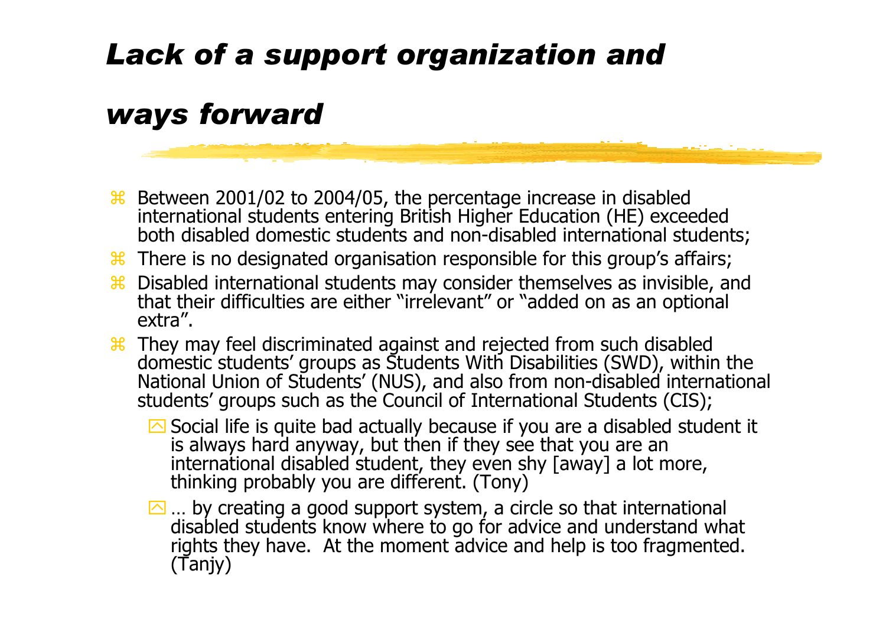### Lack of a support organization and

### ways forward

- Between 2001/02 to 2004/05, the percentage increase in disabled<br>international students entering British Higher Education (HF) excee international students entering British Higher Education (HE) exceeded both disabled domestic students and non-disabled international students;
- <sup>36</sup> There is no designated organisation responsible for this group's affairs;<br><sup>36</sup> Disabled international students may consider themselves as invisible as
- <sup>36</sup> Disabled international students may consider themselves as invisible, and<br>that their difficulties are either "irrelevant" or "added on as an optional that their difficulties are either "irrelevant" or "added on as an optional extra".
- **E** They may feel discriminated against and rejected from such disabled<br>domestic students' groups as Students With Disabilities (SWD), within domestic students' groups as Students With Disabilities (SWD), within the<br>National Union of Students' (NUS), and also from non-disabled internation: National Union of Students' (NUS), and also from non-disabled international<br>students' groups such as the Council of International Students (CIS): students' groups such as the Council of International Students (CIS);
	- Social life is quite bad actually because if you are a disabled student it is always hard anyway, but then if they see that you are an international disabled student, they even shy [away] a lot more,thinking probably you are different. (Tony)
	- $\Box$  ... by creating a good support system, a circle so that international … by creating a good support system, a circle so that international disabled students know where to go for advice and understand what rights they have. At the moment advice and help is too fragmented. (Tanjy)